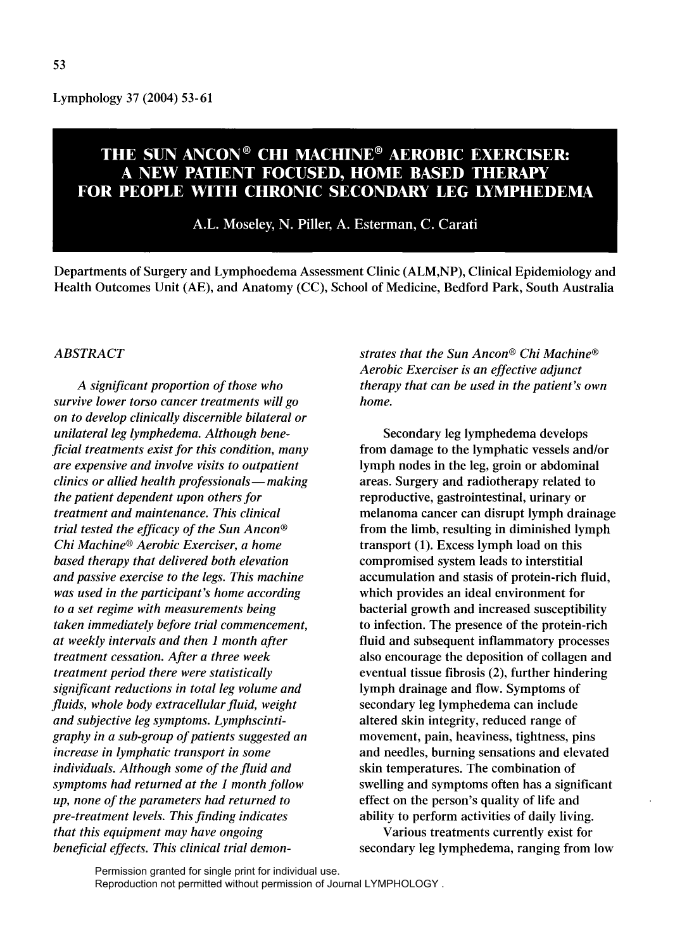Lymphology 37 (2004) 53-61

# THE SUN ANCON® CHI MACHINE® AEROBIC EXERCISER: A NEW PATIENT FOCUSED, HOME BASED THERAPY FOR PEOPLE WITH CHRONIC SECONDARY LEG LYMPHEDEMA

A.L. Moseley, N. Piller, A. Esterman, C. Carati

Departments of Surgery and Lymphoedema Assessment Clinic (ALM,NP), Clinical Epidemiology and Health Outcomes Unit (AE), and Anatomy (CC), School of Medicine, Bedford Park, South Australia

## *ABSTRACT*

*A significant proportion of those who survive lower torso cancer treatments will go on to develop clinically discernible bilateral or unilateral leg lymphedema. Although beneficial treatments exist for this condition, many are expensive and involve visits to outpatient clinics or allied health professionals- making the patient dependent upon others for treatment and maintenance. This clinical trial tested the efficacy of the Sun Ancon® Chi Machine® Aerobic Exerciser, a home based therapy that delivered both elevation and passive exercise to the legs. This machine was used in the participant's home according to a set regime with measurements being taken immediately before trial commencement, at weekly intervals and then* 1 *month after treatment cessation. After a three week treatment period there were statistically significant reductions in total leg volume and fluids, whole body extracellular fluid, weight and subjective leg symptoms. Lymphscintigraphy in a sub-group of patients suggested an increase in lymphatic transport in some individuals. Although some of the fluid and symptoms had returned at the* 1 *month follow up, none of the parameters had returned to pre-treatment levels. This finding indicates that this equipment may have ongoing beneficial effects. This clinical trial demon-* *strates that the Sun Ancon® Chi Machine® Aerobic Exerciser* is *an effective adjunct therapy that can be used in the patient's own home.* 

Secondary leg lymphedema develops from damage to the lymphatic vessels and/or lymph nodes in the leg, groin or abdominal areas. Surgery and radiotherapy related to reproductive, gastrointestinal, urinary or melanoma cancer can disrupt lymph drainage from the limb, resulting in diminished lymph transport (1). Excess lymph load on this compromised system leads to interstitial accumulation and stasis of protein-rich fluid, which provides an ideal environment for bacterial growth and increased susceptibility to infection. The presence of the protein-rich fluid and subsequent inflammatory processes also encourage the deposition of collagen and eventual tissue fibrosis (2), further hindering lymph drainage and flow. Symptoms of secondary leg lymphedema can include altered skin integrity, reduced range of movement, pain, heaviness, tightness, pins and needles, burning sensations and elevated skin temperatures. The combination of swelling and symptoms often has a significant effect on the person's quality of life and ability to perform activities of daily living.

Various treatments currently exist for secondary leg lymphedema, ranging from low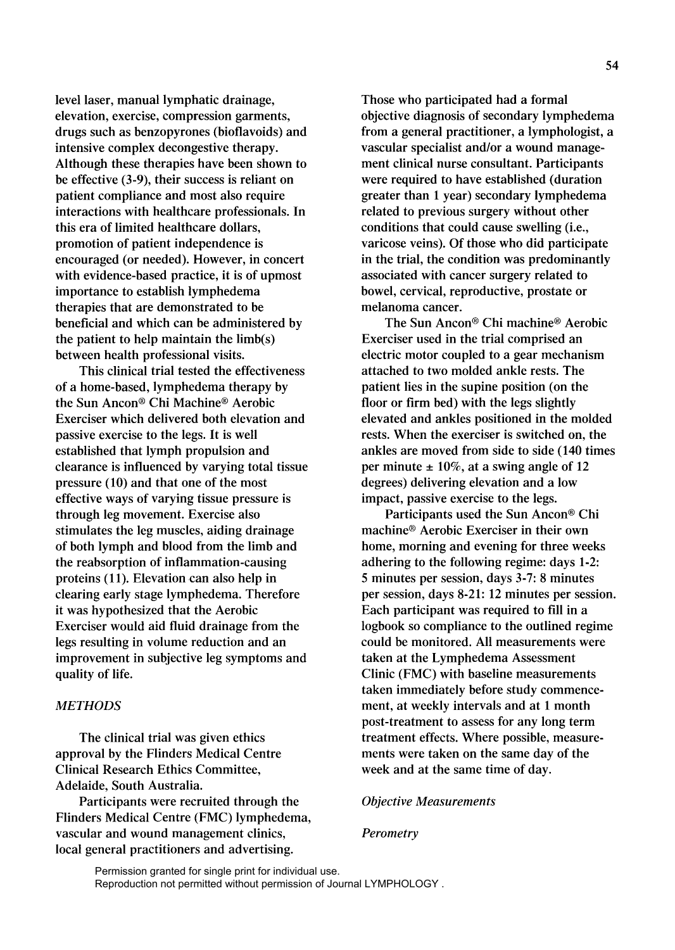level laser, manual lymphatic drainage, elevation, exercise, compression garments, drugs such as benzopyrones (bioflavoids) and intensive complex decongestive therapy. Although these therapies have been shown to be effective (3-9), their success is reliant on patient compliance and most also require interactions with healthcare professionals. **In**  this era of limited healthcare dollars, promotion of patient independence is encouraged (or needed). However, in concert with evidence-based practice, it is of upmost importance to establish lymphedema therapies that are demonstrated to be beneficial and which can be administered by the patient to help maintain the limb(s) between health professional visits.

This clinical trial tested the effectiveness of a home-based, lymphedema therapy by the Sun Ancon® Chi Machine® Aerobic Exerciser which delivered both elevation and passive exercise to the legs. It is well established that lymph propulsion and clearance is influenced by varying total tissue pressure (10) and that one of the most effective ways of varying tissue pressure is through leg movement. Exercise also stimulates the leg muscles, aiding drainage of both lymph and blood from the limb and the reabsorption of inflammation-causing proteins (11). Elevation can also help in clearing early stage lymphedema. Therefore it was hypothesized that the Aerobic Exerciser would aid fluid drainage from the legs resulting in volume reduction and an improvement in subjective leg symptoms and quality of life.

## *METHODS*

The clinical trial was given ethics approval by the Flinders Medical Centre Clinical Research Ethics Committee, Adelaide, South Australia.

Participants were recruited through the Flinders Medical Centre (FMC) lymphedema, vascular and wound management clinics, local general practitioners and advertising.

Those who participated had a formal objective diagnosis of secondary lymphedema from a general practitioner, a lymphologist, a vascular specialist and/or a wound management clinical nurse consultant. Participants were required to have established (duration greater than 1 year) secondary lymphedema related to previous surgery without other conditions that could cause swelling (i.e., varicose veins). Of those who did participate in the trial, the condition was predominantly associated with cancer surgery related to bowel, cervical, reproductive, prostate or melanoma cancer.

The Sun Ancon® Chi machine® Aerobic Exerciser used in the trial comprised an electric motor coupled to a gear mechanism attached to two molded ankle rests. The patient lies in the supine position (on the floor or firm bed) with the legs slightly elevated and ankles positioned in the molded rests. When the exerciser is switched on, the ankles are moved from side to side (140 times per minute  $\pm 10\%$ , at a swing angle of 12 degrees) delivering elevation and a low impact, passive exercise to the legs.

Participants used the Sun Ancon® Chi machine® Aerobic Exerciser in their own home, morning and evening for three weeks adhering to the following regime: days 1-2: 5 minutes per session, days 3-7: 8 minutes per session, days 8-21: 12 minutes per session. Each participant was required to fill in a logbook so compliance to the outlined regime could be monitored. All measurements were taken at the Lymphedema Assessment Clinic (FMC) with baseline measurements taken immediately before study commencement, at weekly intervals and at 1 month post-treatment to assess for any long term treatment effects. Where possible, measurements were taken on the same day of the week and at the same time of day.

#### *Objective Measurements*

#### *Perometry*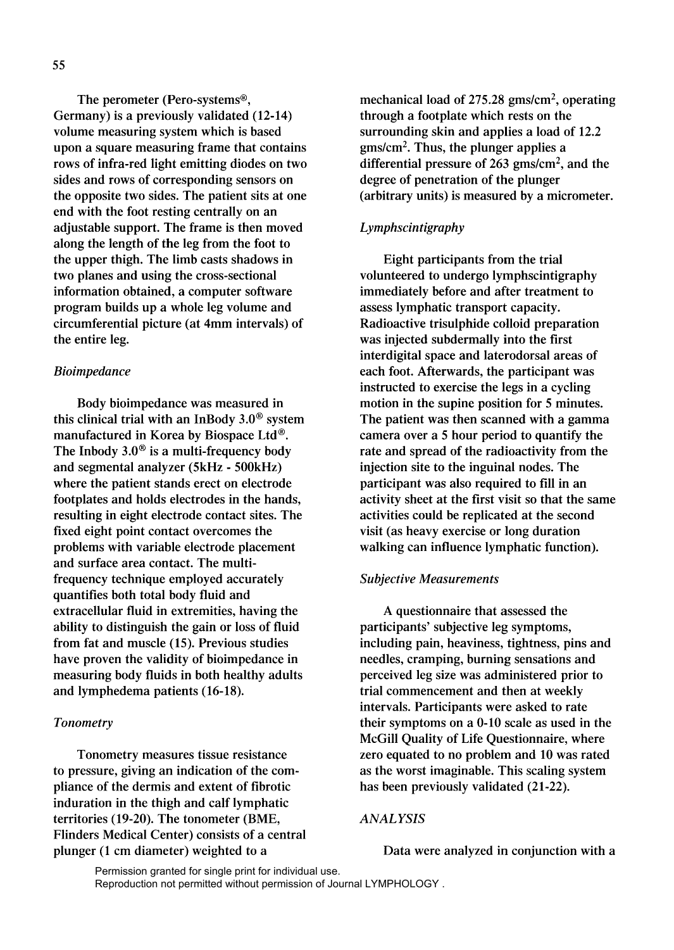The perometer (Pero-systems®, Germany) is a previously validated (12-14) volume measuring system which is based upon a square measuring frame that contains rows of infra-red light emitting diodes on two sides and rows of corresponding sensors on the opposite two sides. The patient sits at one end with the foot resting centrally on an adjustable support. The frame is then moved along the length of the leg from the foot to the upper thigh. The limb casts shadows in two planes and using the cross-sectional information obtained, a computer software program builds up a whole leg volume and circumferential picture (at 4mm intervals) of the entire leg.

## *Bioimpedance*

Body bioimpedance was measured in this clinical trial with an InBody  $3.0^{\circ}$  system manufactured in Korea by Biospace Ltd®. The Inbody  $3.0^\circ$  is a multi-frequency body and segmental analyzer (5kHz - 500kHz) where the patient stands erect on electrode footplates and holds electrodes in the hands, resulting in eight electrode contact sites. The fixed eight point contact overcomes the problems with variable electrode placement and surface area contact. The multifrequency technique employed accurately quantifies both total body fluid and extracellular fluid in extremities, having the ability to distinguish the gain or loss of fluid from fat and muscle (15). Previous studies have proven the validity of bioimpedance in measuring body fluids in both healthy adults and lymphedema patients (16-18).

## *Tonometry*

Tonometry measures tissue resistance to pressure, giving an indication of the compliance of the dermis and extent of fibrotic induration in the thigh and calf lymphatic territories (19-20). The tonometer (BME, Flinders Medical Center) consists of a central plunger (1 cm diameter) weighted to a

mechanical load of 275.28 gms/cm2, operating through a footplate which rests on the surrounding skin and applies a load of 12.2 gms/cm2• Thus, the plunger applies a differential pressure of  $263$  gms/cm<sup>2</sup>, and the degree of penetration of the plunger (arbitrary units) is measured by a micrometer.

# *Lymphscintigraphy*

Eight participants from the trial volunteered to undergo lymphscintigraphy immediately before and after treatment to assess lymphatic transport capacity. Radioactive trisulphide colloid preparation was injected subdermally into the first interdigital space and laterodorsal areas of each foot. Afterwards, the participant was instructed to exercise the legs in a cycling motion in the supine position for 5 minutes. The patient was then scanned with a gamma camera over a 5 hour period to quantify the rate and spread of the radioactivity from the injection site to the inguinal nodes. The participant was also required to fill in an activity sheet at the first visit so that the same activities could be replicated at the second visit (as heavy exercise or long duration walking can influence lymphatic function).

#### *Subjective Measurements*

A questionnaire that assessed the participants' subjective leg symptoms, including pain, heaviness, tightness, pins and needles, cramping, burning sensations and perceived leg size was administered prior to trial commencement and then at weekly intervals. Participants were asked to rate their symptoms on a 0-10 scale as used in the McGill Quality of Life Questionnaire, where zero equated to no problem and 10 was rated as the worst imaginable. This scaling system has been previously validated (21-22).

## *ANALYSIS*

Data were analyzed in conjunction with a

55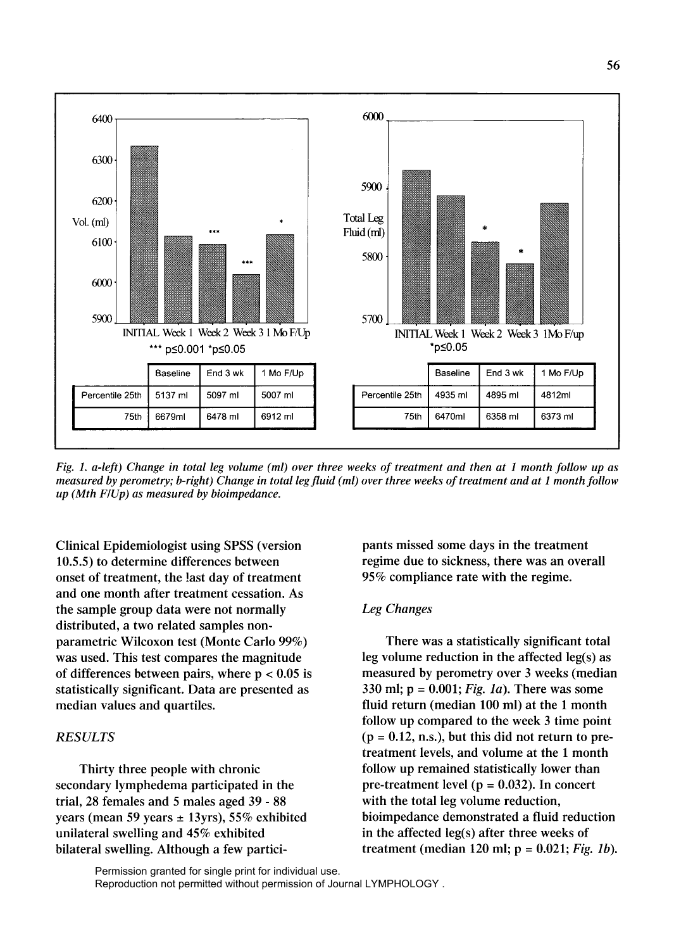

*Fig. 1. a-left) Change in total leg volume (ml) over three weeks of treatment and then at 1 month follow up as measured by perometry; b-right) Change in total leg fluid (ml) over three weeks of treatment and at 1 month follow up (Mth FlUp) as measured by bioimpedance.* 

Clinical Epidemiologist using SPSS (version 10.5.5) to determine differences between onset of treatment, the last day of treatment and one month after treatment cessation. As the sample group data were not normally distributed, a two related samples nonparametric Wilcoxon test (Monte Carlo 99%) was used. This test compares the magnitude of differences between pairs, where  $p < 0.05$  is statistically significant. Data are presented as median values and quartiles.

# *RESULTS*

Thirty three people with chronic secondary lymphedema participated in the trial, 28 females and 5 males aged 39 - 88 years (mean 59 years  $\pm$  13yrs), 55% exhibited unilateral swelling and 45% exhibited bilateral swelling. Although a few participants missed some days in the treatment regime due to sickness, there was an overall 95% compliance rate with the regime.

## *Leg Changes*

There was a statistically significant total leg volume reduction in the affected leg(s) as measured by perometry over 3 weeks (median 330 ml;  $p = 0.001$ ; *Fig. 1a*). There was some fluid return (median 100 ml) at the 1 month follow up compared to the week 3 time point  $(p = 0.12, n.s.),$  but this did not return to pretreatment levels, and volume at the 1 month follow up remained statistically lower than pre-treatment level ( $p = 0.032$ ). In concert with the total leg volume reduction, bioimpedance demonstrated a fluid reduction in the affected leg(s) after three weeks of treatment (median 120 ml;  $p = 0.021$ ; *Fig. 1b*).

Permission granted for single print for individual use. Reproduction not permitted without permission of Journal LYMPHOLOGY .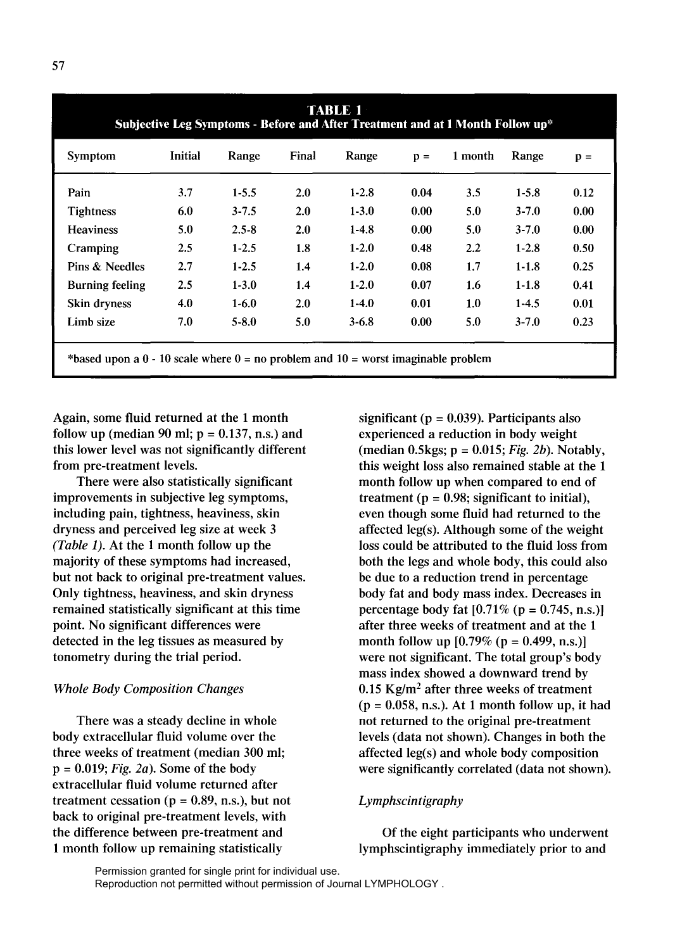| TABLE 1<br>Subjective Leg Symptoms - Before and After Treatment and at 1 Month Follow up* |                |           |       |           |                |         |           |                |
|-------------------------------------------------------------------------------------------|----------------|-----------|-------|-----------|----------------|---------|-----------|----------------|
| Symptom                                                                                   | <b>Initial</b> | Range     | Final | Range     | $\mathbf{p} =$ | 1 month | Range     | $\mathbf{p} =$ |
| Pain                                                                                      | 3.7            | $1 - 5.5$ | 2.0   | $1-2.8$   | 0.04           | 3.5     | $1 - 5.8$ | 0.12           |
| <b>Tightness</b>                                                                          | 6.0            | $3 - 7.5$ | 2.0   | $1 - 3.0$ | 0.00           | 5.0     | $3 - 7.0$ | 0.00           |
| <b>Heaviness</b>                                                                          | 5.0            | $2.5 - 8$ | 2.0   | $1-4.8$   | 0.00           | 5.0     | $3 - 7.0$ | 0.00           |
| Cramping                                                                                  | 2.5            | $1 - 2.5$ | 1.8   | $1-2.0$   | 0.48           | $2.2\,$ | $1-2.8$   | 0.50           |
| Pins & Needles                                                                            | 2.7            | $1 - 2.5$ | 1.4   | $1-2.0$   | 0.08           | 1.7     | $1-1.8$   | 0.25           |
| <b>Burning feeling</b>                                                                    | 2.5            | $1 - 3.0$ | 1.4   | $1-2.0$   | 0.07           | 1.6     | $1-1.8$   | 0.41           |
| Skin dryness                                                                              | 4.0            | $1-6.0$   | 2.0   | $1-4.0$   | 0.01           | 1.0     | $1 - 4.5$ | 0.01           |
| Limb size                                                                                 | 7.0            | $5 - 8.0$ | 5.0   | $3 - 6.8$ | 0.00           | 5.0     | $3 - 7.0$ | 0.23           |
| *based upon a $0 - 10$ scale where $0 =$ no problem and $10 =$ worst imaginable problem   |                |           |       |           |                |         |           |                |

Again, some fluid returned at the 1 month follow up (median 90 ml;  $p = 0.137$ , n.s.) and this lower level was not significantly different from pre-treatment levels.

There were also statistically significant improvements in subjective leg symptoms, including pain, tightness, heaviness, skin dryness and perceived leg size at week 3 *(Table* 1). At the 1 month follow up the majority of these symptoms had increased, but not back to original pre-treatment values. Only tightness, heaviness, and skin dryness remained statistically significant at this time point. No significant differences were detected in the leg tissues as measured by tonometry during the trial period.

#### *Whole Body Composition Changes*

There was a steady decline in whole body extracellular fluid volume over the three weeks of treatment (median 300 ml; p = 0.019; *Fig. 2a).* Some of the body extracellular fluid volume returned after treatment cessation ( $p = 0.89$ , n.s.), but not back to original pre-treatment levels, with the difference between pre-treatment and 1 month follow up remaining statistically

significant ( $p = 0.039$ ). Participants also experienced a reduction in body weight (median 0.5kgs; p = 0.015; *Fig. 2b).* Notably, this weight loss also remained stable at the 1 month follow up when compared to end of treatment ( $p = 0.98$ ; significant to initial), even though some fluid had returned to the affected  $leg(s)$ . Although some of the weight loss could be attributed to the fluid loss from both the legs and whole body, this could also be due to a reduction trend in percentage body fat and body mass index. Decreases in percentage body fat  $[0.71\% (p = 0.745, n.s.)]$ after three weeks of treatment and at the 1 month follow up  $[0.79\% (p = 0.499, n.s.)]$ were not significant. The total group's body mass index showed a downward trend by *0.15 Kg/m2* after three weeks of treatment  $(p = 0.058, n.s.).$  At 1 month follow up, it had not returned to the original pre-treatment levels (data not shown). Changes in both the affected  $leg(s)$  and whole body composition were significantly correlated (data not shown).

# *Lymphscintigraphy*

Of the eight participants who underwent lymphscintigraphy immediately prior to and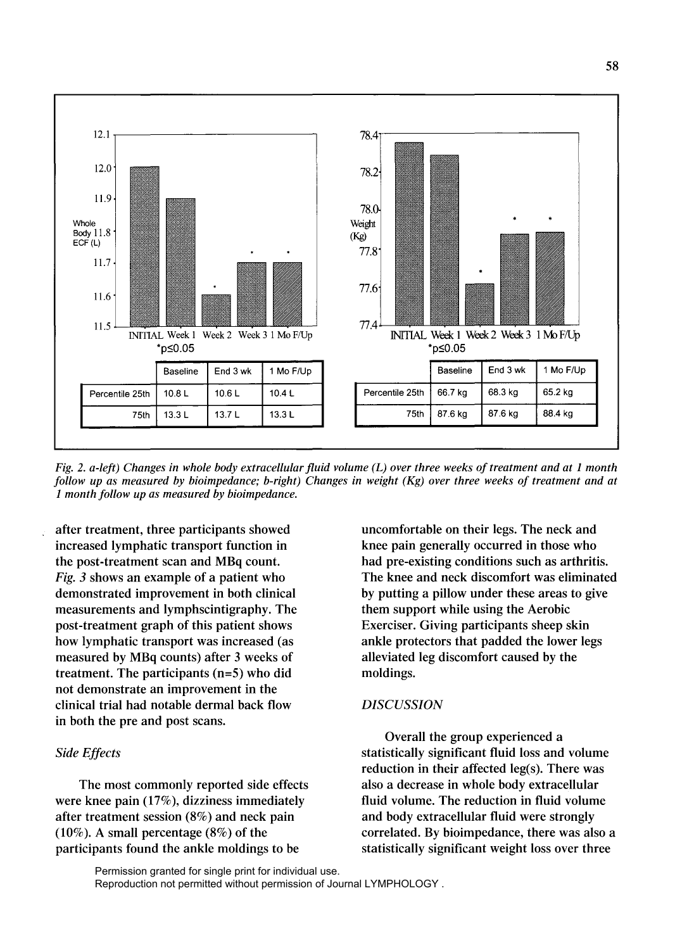

*Fig.* 2. *a-left) Changes in whole body extracellular fluid volume (L) over three weeks of treatment and at* 1 *month follow up as measured by bioimpedance; b-right) Changes in weight (Kg) over three weeks of treatment and at 1 month follow up as measured by bioimpedance.* 

after treatment, three participants showed increased lymphatic transport function in the post-treatment scan and MBq count. Fig. 3 shows an example of a patient who demonstrated improvement in both clinical measurements and lymph scintigraphy. The post-treatment graph of this patient shows how lymphatic transport was increased (as measured by MBq counts) after 3 weeks of treatment. The participants (n=5) who did not demonstrate an improvement in the clinical trial had notable dermal back flow in both the pre and post scans.

# *Side Effects*

The most commonly reported side effects were knee pain (17%), dizziness immediately after treatment session (8%) and neck pain (10%). A small percentage (8%) of the participants found the ankle moldings to be

uncomfortable on their legs. The neck and knee pain generally occurred in those who had pre-existing conditions such as arthritis. The knee and neck discomfort was eliminated by putting a pillow under these areas to give them support while using the Aerobic Exerciser. Giving participants sheep skin ankle protectors that padded the lower legs alleviated leg discomfort caused by the moldings.

## *DISCUSSION*

Overall the group experienced a statistically significant fluid loss and volume reduction in their affected  $leg(s)$ . There was also a decrease in whole body extracellular fluid volume. The reduction in fluid volume and body extracellular fluid were strongly correlated. By bioimpedance, there was also a statistically significant weight loss over three

Permission granted for single print for individual use. Reproduction not permitted without permission of Journal LYMPHOLOGY .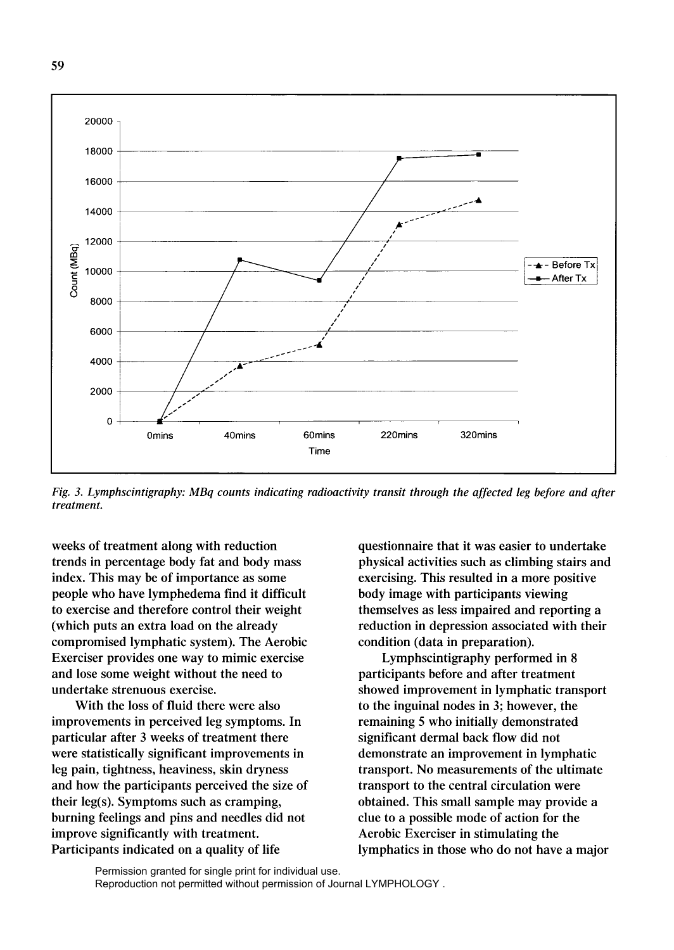

*Fig.* 3. *Lymphscintigraphy: MBq counts indicating radioactivity transit through the affected leg before and after treatment.* 

weeks of treatment along with reduction trends in percentage body fat and body mass index. This may be of importance as some people who have lymphedema find it difficult to exercise and therefore control their weight (which puts an extra load on the already compromised lymphatic system). The Aerobic Exerciser provides one way to mimic exercise and lose some weight without the need to undertake strenuous exercise.

With the loss of fluid there were also improvements in perceived leg symptoms. In particular after 3 weeks of treatment there were statistically significant improvements in leg pain, tightness, heaviness, skin dryness and how the participants perceived the size of their leg(s). Symptoms such as cramping, burning feelings and pins and needles did not improve significantly with treatment. Participants indicated on a quality of life

questionnaire that it was easier to undertake physical activities such as climbing stairs and exercising. This resulted in a more positive body image with participants viewing themselves as less impaired and reporting a reduction in depression associated with their condition (data in preparation).

Lymphscintigraphy performed in 8 participants before and after treatment showed improvement in lymphatic transport to the inguinal nodes in 3; however, the remaining 5 who initially demonstrated significant dermal back flow did not demonstrate an improvement in lymphatic transport. No measurements of the ultimate transport to the central circulation were obtained. This small sample may provide a clue to a possible mode of action for the Aerobic Exerciser in stimulating the lymphatics in those who do not have a major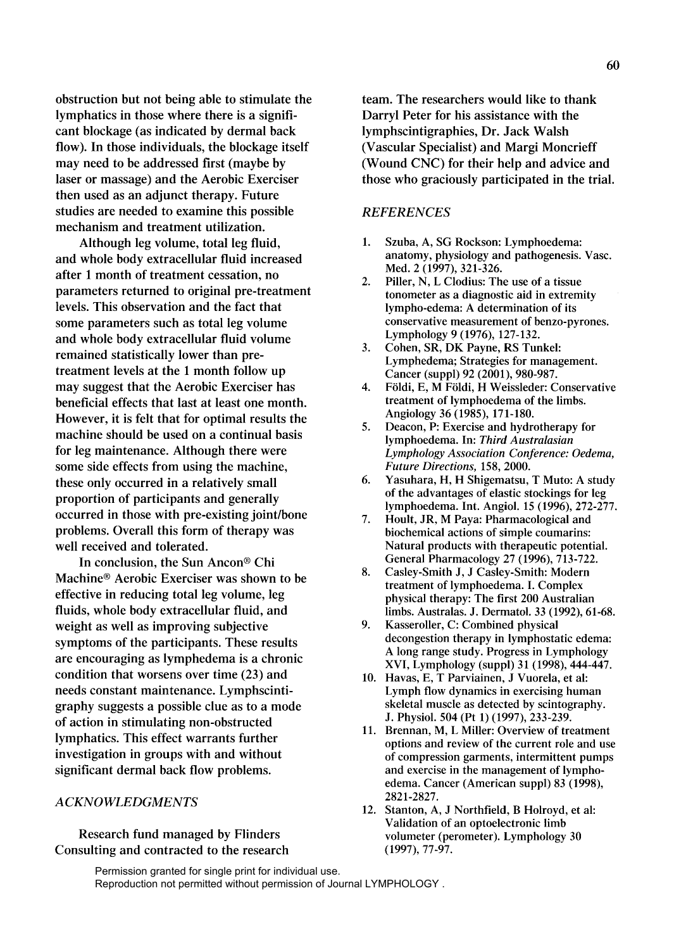obstruction but not being able to stimulate the lymphatics in those where there is a significant blockage (as indicated by dermal back flow). **In** those individuals, the blockage itself may need to be addressed first (maybe by laser or massage) and the Aerobic Exerciser then used as an adjunct therapy. Future studies are needed to examine this possible mechanism and treatment utilization.

Although leg volume, total leg fluid, and whole body extracellular fluid increased after 1 month of treatment cessation, no parameters returned to original pre-treatment levels. This observation and the fact that some parameters such as total leg volume and whole body extracellular fluid volume remained statistically lower than pretreatment levels at the 1 month follow up may suggest that the Aerobic Exerciser has beneficial effects that last at least one month. However, it is felt that for optimal results the machine should be used on a continual basis for leg maintenance. Although there were some side effects from using the machine, these only occurred in a relatively small proportion of participants and generally occurred in those with pre-existing joint/bone problems. Overall this form of therapy was well received and tolerated.

**In** conclusion, the Sun Ancon® Chi Machine® Aerobic Exerciser was shown to be effective in reducing total leg volume, leg fluids, whole body extracellular fluid, and weight as well as improving subjective symptoms of the participants. These results are encouraging as lymphedema is a chronic condition that worsens over time (23) and needs constant maintenance. Lymphscintigraphy suggests a possible clue as to a mode of action in stimulating non-obstructed lymphatics. This effect warrants further investigation in groups with and without significant dermal back flow problems.

# *ACKNOWLEDGMENTS*

Research fund managed by Flinders Consulting and contracted to the research team. The researchers would like to thank Darryl Peter for his assistance with the lymphscintigraphies, Dr. Jack Walsh (Vascular Specialist) and Margi Moncrieff (Wound CNC) for their help and advice and those who graciously participated in the trial.

#### *REFERENCES*

- 1. Szuba, A, SG Rockson: Lymphoedema: anatomy, physiology and pathogenesis. Vasc. Med. 2 (1997), 321-326.
- 2. Piller, N, L Clodius: The use of a tissue tonometer as a diagnostic aid in extremity lympho-edema: A determination of its conservative measurement of benzo-pyrones. Lymphology 9 (1976), 127-132.
- 3. Cohen, SR, DK Payne, RS Tunkel: Lymphedema; Strategies for management. Cancer (suppl) 92 (2001), 980-987.
- 4. Földi, E, M Földi, H Weissleder: Conservative treatment of lymphoedema of the limbs. Angiology 36 (1985),171-180.
- 5. Deacon, P: Exercise and hydrotherapy for lymphoedema. In: *Third Australasian Lymphology Association Conference: Oedema, Future Directions,* 158, 2000.
- 6. Yasuhara, H, H Shigematsu, T Muto: A study of the advantages of elastic stockings for leg lymphoedema. Int. Angiol. 15 (1996), 272-277.
- 7. Hoult, JR, M Paya: Pharmacological and biochemical actions of simple coumarins: Natural products with therapeutic potential. General Pharmacology 27 (1996), 713-722.
- 8. Casley-Smith J, J Casley-Smith: Modern treatment of lymphoedema. I. Complex physical therapy: The first 200 Australian limbs. Australas. J. Dermatol. 33 (1992), 61-68.
- 9. Kasseroller, C: Combined physical decongestion therapy in lymphostatic edema: A long range study. Progress in Lymphology XVI, Lymphology (suppl) 31 (1998), 444-447.
- 10. Havas, E, T Parviainen, J Vuorela, et al: Lymph flow dynamics in exercising human skeletal muscle as detected by scintography. J. Physiol. 504 (Pt 1) (1997), 233-239.
- 11. Brennan, M, L Miller: Overview of treatment options and review of the current role and use of compression garments, intermittent pumps and exercise in the management of lymphoedema. Cancer (American suppl) 83 (1998), 2821-2827.
- 12. Stanton, A, J Northfield, B Holroyd, et al: Validation of an optoelectronic limb volumeter (perometer). Lymphology 30 (1997),77-97.